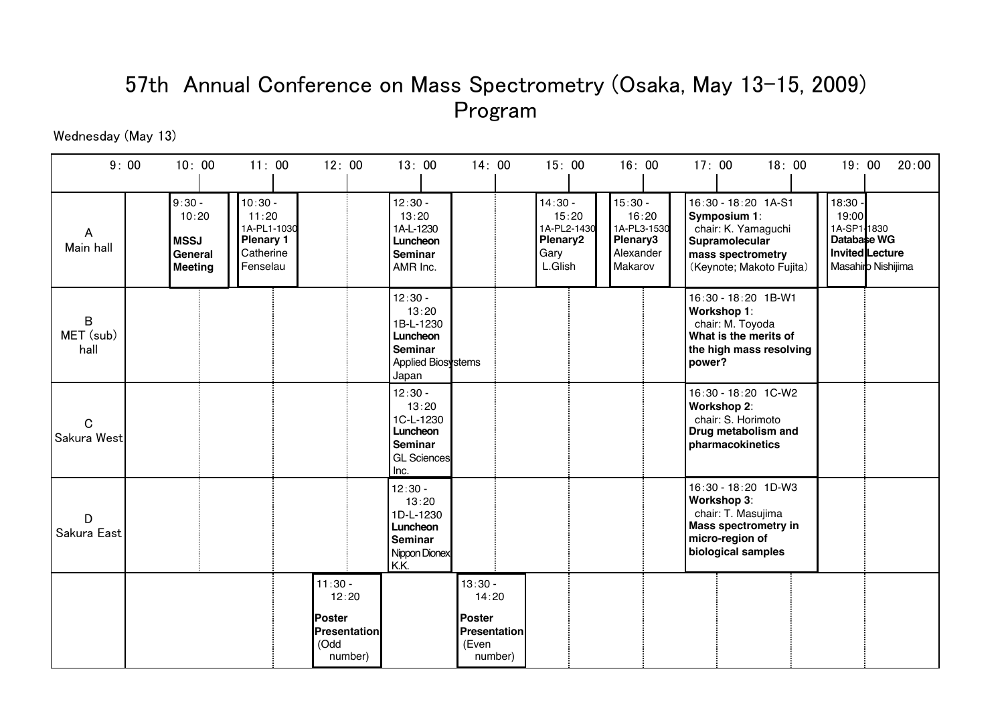## 57th Annual Conference on Mass Spectrometry (Osaka, May 13-15, 2009) Program

Wednesday (May 13)

| 9:00                       | 10:00                                                         | 11:00                                                                          | 12:00                                                                   | 13:00                                                                                  | 14:00                                                                          | 15:00                                                            | 16:00                                                                 | 17:00<br>18:00                                                                                                                | 20:00<br>19:00                                                                            |
|----------------------------|---------------------------------------------------------------|--------------------------------------------------------------------------------|-------------------------------------------------------------------------|----------------------------------------------------------------------------------------|--------------------------------------------------------------------------------|------------------------------------------------------------------|-----------------------------------------------------------------------|-------------------------------------------------------------------------------------------------------------------------------|-------------------------------------------------------------------------------------------|
| A<br>Main hall             | $9:30 -$<br>10:20<br><b>MSSJ</b><br>General<br><b>Meeting</b> | $10:30 -$<br>11:20<br>1A-PL1-1030<br><b>Plenary 1</b><br>Catherine<br>Fenselau |                                                                         | $12:30 -$<br>13:20<br>1A-L-1230<br>Luncheon<br>Seminar<br>AMR Inc.                     |                                                                                | $14:30 -$<br>15:20<br>1A-PL2-1430<br>Plenary2<br>Gary<br>L.Glish | $15:30 -$<br>16:20<br>1A-PL3-1530<br>Plenary3<br>Alexander<br>Makarov | 16:30 - 18:20 1A-S1<br>Symposium 1:<br>chair: K. Yamaguchi<br>Supramolecular<br>mass spectrometry<br>(Keynote; Makoto Fujita) | $18:30 -$<br>19:00<br>1A-SP1 1830<br>Database WG<br>Invited Lecture<br>Masahiro Nishijima |
| B<br>MET (sub)<br>hall     |                                                               |                                                                                |                                                                         | $12:30 -$<br>13:20<br>1B-L-1230<br>Luncheon<br>Seminar<br>Applied Biosystems<br>Japan  |                                                                                |                                                                  |                                                                       | 16:30 - 18:20 1B-W1<br>Workshop 1:<br>chair: M. Toyoda<br>What is the merits of<br>the high mass resolving<br>power?          |                                                                                           |
| $\mathbf C$<br>Sakura West |                                                               |                                                                                |                                                                         | $12:30 -$<br>13:20<br>1C-L-1230<br>Luncheon<br>Seminar<br><b>GL Sciences</b><br>Inc.   |                                                                                |                                                                  |                                                                       | 16:30 - 18:20 1C-W2<br><b>Workshop 2:</b><br>chair: S. Horimoto<br>Drug metabolism and<br>pharmacokinetics                    |                                                                                           |
| D<br>Sakura East           |                                                               |                                                                                |                                                                         | $12:30 -$<br>13:20<br>1D-L-1230<br>Luncheon<br><b>Seminar</b><br>Nippon Dionex<br>K.K. |                                                                                |                                                                  |                                                                       | 16:30 - 18:20 1D-W3<br>Workshop 3:<br>chair: T. Masujima<br>Mass spectrometry in<br>micro-region of<br>biological samples     |                                                                                           |
|                            |                                                               |                                                                                | $11:30 -$<br>12:20<br><b>IPoster</b><br>Presentation<br>(Odd<br>number) |                                                                                        | $13:30 -$<br>14:20<br><b>Poster</b><br><b>Presentation</b><br>(Even<br>number) |                                                                  |                                                                       |                                                                                                                               |                                                                                           |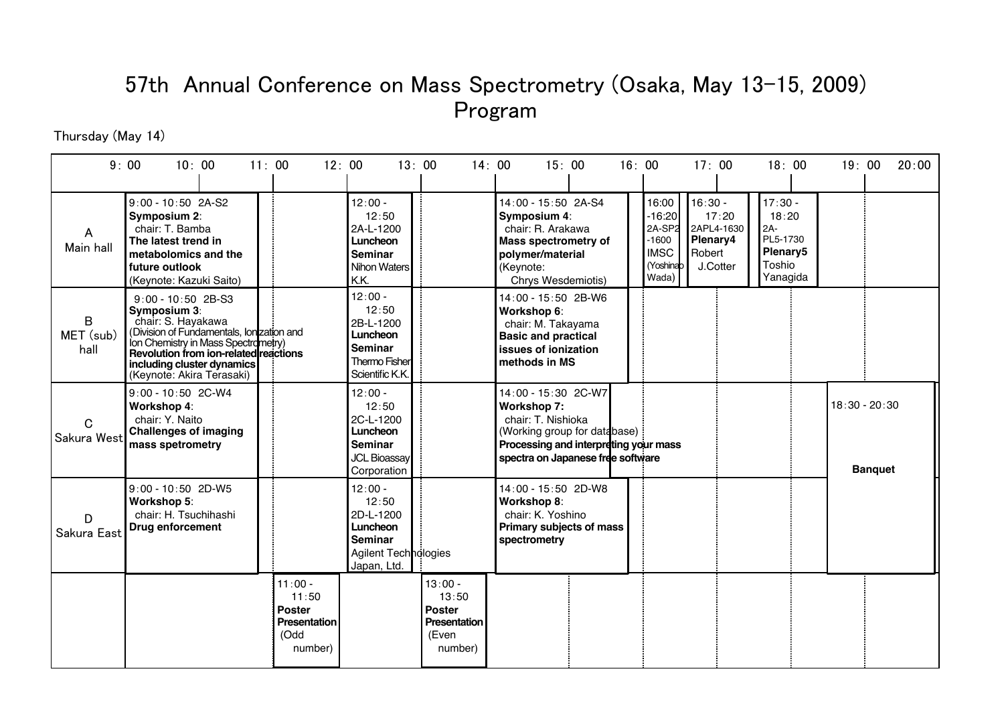## 57th Annual Conference on Mass Spectrometry (Osaka, May 13-15, 2009) Program

Thursday (May 14)

|                            | 9:00<br>10:00                                                                                                                                                                                                                                      | 11:00                                                       | 12:00   |                                                                                                      | 13:00                                                                          | 14:00<br>15:00                                                                                                                                                                | 16:00<br>17:00                                                                                                             | 18:00                                                                                            | 20:00<br>19:00                    |
|----------------------------|----------------------------------------------------------------------------------------------------------------------------------------------------------------------------------------------------------------------------------------------------|-------------------------------------------------------------|---------|------------------------------------------------------------------------------------------------------|--------------------------------------------------------------------------------|-------------------------------------------------------------------------------------------------------------------------------------------------------------------------------|----------------------------------------------------------------------------------------------------------------------------|--------------------------------------------------------------------------------------------------|-----------------------------------|
| A<br>Main hall             | $9:00 - 10:50$ 2A-S2<br>Symposium 2:<br>chair: T. Bamba<br>The latest trend in<br>metabolomics and the<br>future outlook<br>(Keynote: Kazuki Saito)                                                                                                |                                                             |         | $12:00 -$<br>12:50<br>2A-L-1200<br>Luncheon<br><b>Seminar</b><br>Nihon Waters<br>K.K.                |                                                                                | 14:00 - 15:50 2A-S4<br>Symposium 4:<br>chair: R. Arakawa<br><b>Mass spectrometry of</b><br>polymer/material<br>(Keynote:<br>Chrys Wesdemiotis)                                | $16:30 -$<br>16:00<br>$-16:20$<br>2A-SP2<br>Plenary4<br>$-1600$<br><b>IMSC</b><br>Robert<br>(Yoshinab<br>J.Cotter<br>Wada) | $17:30 -$<br>17:20<br>18:20<br>2APL4-1630<br>$2A-$<br>PL5-1730<br>Plenary5<br>Toshio<br>Yanagida |                                   |
| B<br>MET (sub)<br>hall     | $9:00 - 10:50$ 2B-S3<br>Symposium 3:<br>chair: S. Hayakawa<br>(Division of Fundamentals, Ion zation and<br>Ion Chemistry in Mass Spectrometry)<br>Revolution from ion-related reactions<br>including cluster dynamics<br>(Keynote: Akira Terasaki) |                                                             |         | $12:00 -$<br>12:50<br>2B-L-1200<br>Luncheon<br><b>Seminar</b><br>Thermo Fisher<br>Scientific K.K.    |                                                                                | 14:00 - 15:50 2B-W6<br>Workshop 6:<br>chair: M. Takayama<br><b>Basic and practical</b><br>issues of ionization<br>methods in MS                                               |                                                                                                                            |                                                                                                  |                                   |
| $\mathbf C$<br>Sakura West | 9:00 - 10:50 2C-W4<br>Workshop 4:<br>chair: Y. Naito<br><b>Challenges of imaging</b><br>mass spetrometry                                                                                                                                           |                                                             |         | $12:00 -$<br>12:50<br>2C-L-1200<br>Luncheon<br><b>Seminar</b><br><b>JCL Bioassay</b><br>Corporation  |                                                                                | 14:00 - 15:30 2C-W7<br><b>Workshop 7:</b><br>chair: T. Nishioka<br>(Working group for database)<br>Processing and interpreting your mass<br>spectra on Japanese free software |                                                                                                                            |                                                                                                  | $18:30 - 20:30$<br><b>Banquet</b> |
| D<br>Sakura East           | $9:00 - 10:50$ 2D-W5<br>Workshop 5:<br>chair: H. Tsuchihashi<br>Drug enforcement                                                                                                                                                                   |                                                             |         | $12:00 -$<br>12:50<br>2D-L-1200<br>Luncheon<br><b>Seminar</b><br>Agilent Technologies<br>Japan, Ltd. |                                                                                | 14:00 - 15:50 2D-W8<br>Workshop 8:<br>chair: K. Yoshino<br>Primary subjects of mass<br>spectrometry                                                                           |                                                                                                                            |                                                                                                  |                                   |
|                            |                                                                                                                                                                                                                                                    | $11:00 -$<br>11:50<br>Poster<br><b>Presentation</b><br>(Odd | number) |                                                                                                      | $13:00 -$<br>13:50<br><b>Poster</b><br><b>Presentation</b><br>(Even<br>number) |                                                                                                                                                                               |                                                                                                                            |                                                                                                  |                                   |